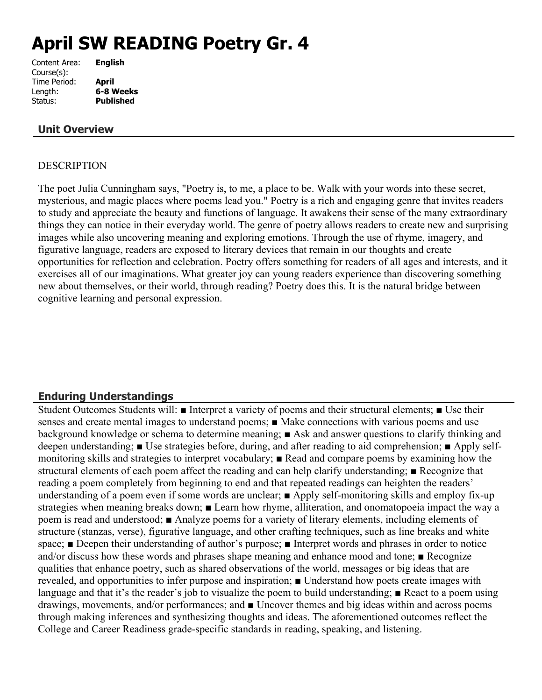# **April SW READING Poetry Gr. 4**

| Content Area: | <b>English</b>   |
|---------------|------------------|
| Course(s):    |                  |
| Time Period:  | <b>April</b>     |
| Length:       | 6-8 Weeks        |
| Status:       | <b>Published</b> |
|               |                  |

# **Unit Overview**

## DESCRIPTION

The poet Julia Cunningham says, "Poetry is, to me, a place to be. Walk with your words into these secret, mysterious, and magic places where poems lead you." Poetry is a rich and engaging genre that invites readers to study and appreciate the beauty and functions of language. It awakens their sense of the many extraordinary things they can notice in their everyday world. The genre of poetry allows readers to create new and surprising images while also uncovering meaning and exploring emotions. Through the use of rhyme, imagery, and figurative language, readers are exposed to literary devices that remain in our thoughts and create opportunities for reflection and celebration. Poetry offers something for readers of all ages and interests, and it exercises all of our imaginations. What greater joy can young readers experience than discovering something new about themselves, or their world, through reading? Poetry does this. It is the natural bridge between cognitive learning and personal expression.

# **Enduring Understandings**

Student Outcomes Students will: ■ Interpret a variety of poems and their structural elements; ■ Use their senses and create mental images to understand poems; ■ Make connections with various poems and use background knowledge or schema to determine meaning; ■ Ask and answer questions to clarify thinking and deepen understanding; ■ Use strategies before, during, and after reading to aid comprehension; ■ Apply selfmonitoring skills and strategies to interpret vocabulary; ■ Read and compare poems by examining how the structural elements of each poem affect the reading and can help clarify understanding; ■ Recognize that reading a poem completely from beginning to end and that repeated readings can heighten the readers' understanding of a poem even if some words are unclear; ■ Apply self-monitoring skills and employ fix-up strategies when meaning breaks down; ■ Learn how rhyme, alliteration, and onomatopoeia impact the way a poem is read and understood; ■ Analyze poems for a variety of literary elements, including elements of structure (stanzas, verse), figurative language, and other crafting techniques, such as line breaks and white space; **■** Deepen their understanding of author's purpose; **■** Interpret words and phrases in order to notice and/or discuss how these words and phrases shape meaning and enhance mood and tone; ■ Recognize qualities that enhance poetry, such as shared observations of the world, messages or big ideas that are revealed, and opportunities to infer purpose and inspiration; ■ Understand how poets create images with language and that it's the reader's job to visualize the poem to build understanding; ■ React to a poem using drawings, movements, and/or performances; and ■ Uncover themes and big ideas within and across poems through making inferences and synthesizing thoughts and ideas. The aforementioned outcomes reflect the College and Career Readiness grade-specific standards in reading, speaking, and listening.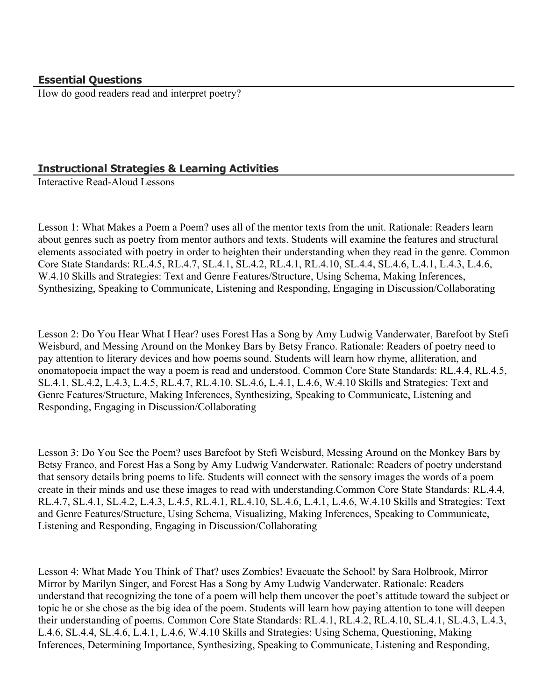# **Essential Questions**

How do good readers read and interpret poetry?

# **Instructional Strategies & Learning Activities**

Interactive Read-Aloud Lessons

Lesson 1: What Makes a Poem a Poem? uses all of the mentor texts from the unit. Rationale: Readers learn about genres such as poetry from mentor authors and texts. Students will examine the features and structural elements associated with poetry in order to heighten their understanding when they read in the genre. Common Core State Standards: RL.4.5, RL.4.7, SL.4.1, SL.4.2, RL.4.1, RL.4.10, SL.4.4, SL.4.6, L.4.1, L.4.3, L.4.6, W.4.10 Skills and Strategies: Text and Genre Features/Structure, Using Schema, Making Inferences, Synthesizing, Speaking to Communicate, Listening and Responding, Engaging in Discussion/Collaborating

Lesson 2: Do You Hear What I Hear? uses Forest Has a Song by Amy Ludwig Vanderwater, Barefoot by Stefi Weisburd, and Messing Around on the Monkey Bars by Betsy Franco. Rationale: Readers of poetry need to pay attention to literary devices and how poems sound. Students will learn how rhyme, alliteration, and onomatopoeia impact the way a poem is read and understood. Common Core State Standards: RL.4.4, RL.4.5, SL.4.1, SL.4.2, L.4.3, L.4.5, RL.4.7, RL.4.10, SL.4.6, L.4.1, L.4.6, W.4.10 Skills and Strategies: Text and Genre Features/Structure, Making Inferences, Synthesizing, Speaking to Communicate, Listening and Responding, Engaging in Discussion/Collaborating

Lesson 3: Do You See the Poem? uses Barefoot by Stefi Weisburd, Messing Around on the Monkey Bars by Betsy Franco, and Forest Has a Song by Amy Ludwig Vanderwater. Rationale: Readers of poetry understand that sensory details bring poems to life. Students will connect with the sensory images the words of a poem create in their minds and use these images to read with understanding.Common Core State Standards: RL.4.4, RL.4.7, SL.4.1, SL.4.2, L.4.3, L.4.5, RL.4.1, RL.4.10, SL.4.6, L.4.1, L.4.6, W.4.10 Skills and Strategies: Text and Genre Features/Structure, Using Schema, Visualizing, Making Inferences, Speaking to Communicate, Listening and Responding, Engaging in Discussion/Collaborating

Lesson 4: What Made You Think of That? uses Zombies! Evacuate the School! by Sara Holbrook, Mirror Mirror by Marilyn Singer, and Forest Has a Song by Amy Ludwig Vanderwater. Rationale: Readers understand that recognizing the tone of a poem will help them uncover the poet's attitude toward the subject or topic he or she chose as the big idea of the poem. Students will learn how paying attention to tone will deepen their understanding of poems. Common Core State Standards: RL.4.1, RL.4.2, RL.4.10, SL.4.1, SL.4.3, L.4.3, L.4.6, SL.4.4, SL.4.6, L.4.1, L.4.6, W.4.10 Skills and Strategies: Using Schema, Questioning, Making Inferences, Determining Importance, Synthesizing, Speaking to Communicate, Listening and Responding,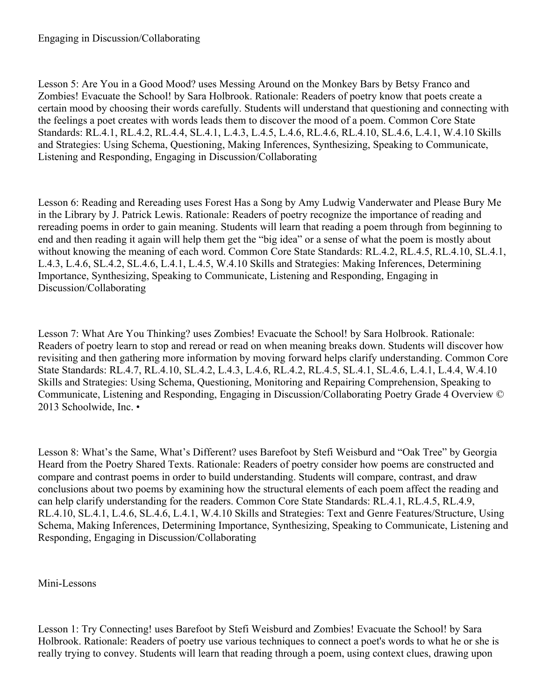# Engaging in Discussion/Collaborating

Lesson 5: Are You in a Good Mood? uses Messing Around on the Monkey Bars by Betsy Franco and Zombies! Evacuate the School! by Sara Holbrook. Rationale: Readers of poetry know that poets create a certain mood by choosing their words carefully. Students will understand that questioning and connecting with the feelings a poet creates with words leads them to discover the mood of a poem. Common Core State Standards: RL.4.1, RL.4.2, RL.4.4, SL.4.1, L.4.3, L.4.5, L.4.6, RL.4.6, RL.4.10, SL.4.6, L.4.1, W.4.10 Skills and Strategies: Using Schema, Questioning, Making Inferences, Synthesizing, Speaking to Communicate, Listening and Responding, Engaging in Discussion/Collaborating

Lesson 6: Reading and Rereading uses Forest Has a Song by Amy Ludwig Vanderwater and Please Bury Me in the Library by J. Patrick Lewis. Rationale: Readers of poetry recognize the importance of reading and rereading poems in order to gain meaning. Students will learn that reading a poem through from beginning to end and then reading it again will help them get the "big idea" or a sense of what the poem is mostly about without knowing the meaning of each word. Common Core State Standards: RL.4.2, RL.4.5, RL.4.10, SL.4.1, L.4.3, L.4.6, SL.4.2, SL.4.6, L.4.1, L.4.5, W.4.10 Skills and Strategies: Making Inferences, Determining Importance, Synthesizing, Speaking to Communicate, Listening and Responding, Engaging in Discussion/Collaborating

Lesson 7: What Are You Thinking? uses Zombies! Evacuate the School! by Sara Holbrook. Rationale: Readers of poetry learn to stop and reread or read on when meaning breaks down. Students will discover how revisiting and then gathering more information by moving forward helps clarify understanding. Common Core State Standards: RL.4.7, RL.4.10, SL.4.2, L.4.3, L.4.6, RL.4.2, RL.4.5, SL.4.1, SL.4.6, L.4.1, L.4.4, W.4.10 Skills and Strategies: Using Schema, Questioning, Monitoring and Repairing Comprehension, Speaking to Communicate, Listening and Responding, Engaging in Discussion/Collaborating Poetry Grade 4 Overview © 2013 Schoolwide, Inc. •

Lesson 8: What's the Same, What's Different? uses Barefoot by Stefi Weisburd and "Oak Tree" by Georgia Heard from the Poetry Shared Texts. Rationale: Readers of poetry consider how poems are constructed and compare and contrast poems in order to build understanding. Students will compare, contrast, and draw conclusions about two poems by examining how the structural elements of each poem affect the reading and can help clarify understanding for the readers. Common Core State Standards: RL.4.1, RL.4.5, RL.4.9, RL.4.10, SL.4.1, L.4.6, SL.4.6, L.4.1, W.4.10 Skills and Strategies: Text and Genre Features/Structure, Using Schema, Making Inferences, Determining Importance, Synthesizing, Speaking to Communicate, Listening and Responding, Engaging in Discussion/Collaborating

#### Mini-Lessons

Lesson 1: Try Connecting! uses Barefoot by Stefi Weisburd and Zombies! Evacuate the School! by Sara Holbrook. Rationale: Readers of poetry use various techniques to connect a poet's words to what he or she is really trying to convey. Students will learn that reading through a poem, using context clues, drawing upon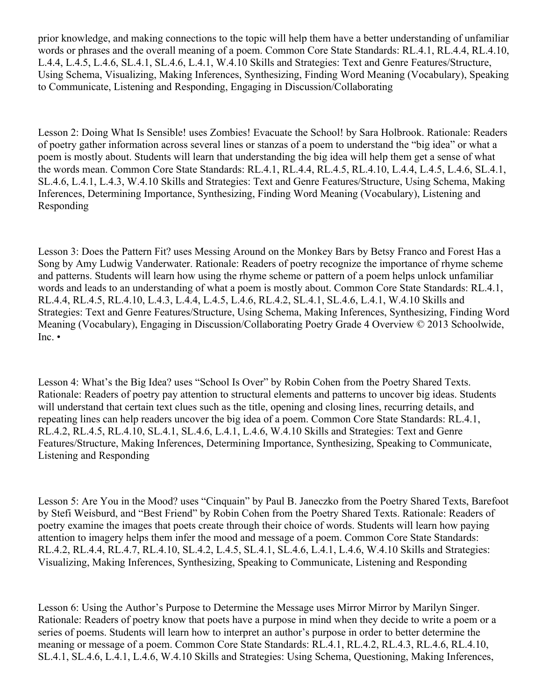prior knowledge, and making connections to the topic will help them have a better understanding of unfamiliar words or phrases and the overall meaning of a poem. Common Core State Standards: RL.4.1, RL.4.4, RL.4.10, L.4.4, L.4.5, L.4.6, SL.4.1, SL.4.6, L.4.1, W.4.10 Skills and Strategies: Text and Genre Features/Structure, Using Schema, Visualizing, Making Inferences, Synthesizing, Finding Word Meaning (Vocabulary), Speaking to Communicate, Listening and Responding, Engaging in Discussion/Collaborating

Lesson 2: Doing What Is Sensible! uses Zombies! Evacuate the School! by Sara Holbrook. Rationale: Readers of poetry gather information across several lines or stanzas of a poem to understand the "big idea" or what a poem is mostly about. Students will learn that understanding the big idea will help them get a sense of what the words mean. Common Core State Standards: RL.4.1, RL.4.4, RL.4.5, RL.4.10, L.4.4, L.4.5, L.4.6, SL.4.1, SL.4.6, L.4.1, L.4.3, W.4.10 Skills and Strategies: Text and Genre Features/Structure, Using Schema, Making Inferences, Determining Importance, Synthesizing, Finding Word Meaning (Vocabulary), Listening and Responding

Lesson 3: Does the Pattern Fit? uses Messing Around on the Monkey Bars by Betsy Franco and Forest Has a Song by Amy Ludwig Vanderwater. Rationale: Readers of poetry recognize the importance of rhyme scheme and patterns. Students will learn how using the rhyme scheme or pattern of a poem helps unlock unfamiliar words and leads to an understanding of what a poem is mostly about. Common Core State Standards: RL.4.1, RL.4.4, RL.4.5, RL.4.10, L.4.3, L.4.4, L.4.5, L.4.6, RL.4.2, SL.4.1, SL.4.6, L.4.1, W.4.10 Skills and Strategies: Text and Genre Features/Structure, Using Schema, Making Inferences, Synthesizing, Finding Word Meaning (Vocabulary), Engaging in Discussion/Collaborating Poetry Grade 4 Overview © 2013 Schoolwide, Inc. •

Lesson 4: What's the Big Idea? uses "School Is Over" by Robin Cohen from the Poetry Shared Texts. Rationale: Readers of poetry pay attention to structural elements and patterns to uncover big ideas. Students will understand that certain text clues such as the title, opening and closing lines, recurring details, and repeating lines can help readers uncover the big idea of a poem. Common Core State Standards: RL.4.1, RL.4.2, RL.4.5, RL.4.10, SL.4.1, SL.4.6, L.4.1, L.4.6, W.4.10 Skills and Strategies: Text and Genre Features/Structure, Making Inferences, Determining Importance, Synthesizing, Speaking to Communicate, Listening and Responding

Lesson 5: Are You in the Mood? uses "Cinquain" by Paul B. Janeczko from the Poetry Shared Texts, Barefoot by Stefi Weisburd, and "Best Friend" by Robin Cohen from the Poetry Shared Texts. Rationale: Readers of poetry examine the images that poets create through their choice of words. Students will learn how paying attention to imagery helps them infer the mood and message of a poem. Common Core State Standards: RL.4.2, RL.4.4, RL.4.7, RL.4.10, SL.4.2, L.4.5, SL.4.1, SL.4.6, L.4.1, L.4.6, W.4.10 Skills and Strategies: Visualizing, Making Inferences, Synthesizing, Speaking to Communicate, Listening and Responding

Lesson 6: Using the Author's Purpose to Determine the Message uses Mirror Mirror by Marilyn Singer. Rationale: Readers of poetry know that poets have a purpose in mind when they decide to write a poem or a series of poems. Students will learn how to interpret an author's purpose in order to better determine the meaning or message of a poem. Common Core State Standards: RL.4.1, RL.4.2, RL.4.3, RL.4.6, RL.4.10, SL.4.1, SL.4.6, L.4.1, L.4.6, W.4.10 Skills and Strategies: Using Schema, Questioning, Making Inferences,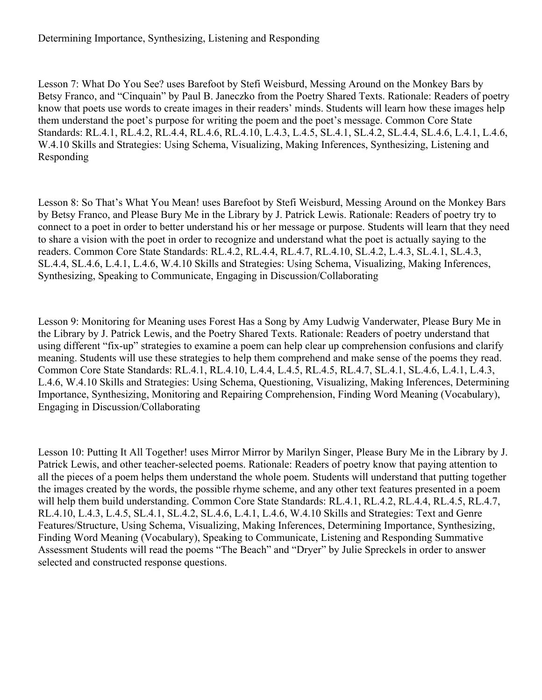# Determining Importance, Synthesizing, Listening and Responding

Lesson 7: What Do You See? uses Barefoot by Stefi Weisburd, Messing Around on the Monkey Bars by Betsy Franco, and "Cinquain" by Paul B. Janeczko from the Poetry Shared Texts. Rationale: Readers of poetry know that poets use words to create images in their readers' minds. Students will learn how these images help them understand the poet's purpose for writing the poem and the poet's message. Common Core State Standards: RL.4.1, RL.4.2, RL.4.4, RL.4.6, RL.4.10, L.4.3, L.4.5, SL.4.1, SL.4.2, SL.4.4, SL.4.6, L.4.1, L.4.6, W.4.10 Skills and Strategies: Using Schema, Visualizing, Making Inferences, Synthesizing, Listening and Responding

Lesson 8: So That's What You Mean! uses Barefoot by Stefi Weisburd, Messing Around on the Monkey Bars by Betsy Franco, and Please Bury Me in the Library by J. Patrick Lewis. Rationale: Readers of poetry try to connect to a poet in order to better understand his or her message or purpose. Students will learn that they need to share a vision with the poet in order to recognize and understand what the poet is actually saying to the readers. Common Core State Standards: RL.4.2, RL.4.4, RL.4.7, RL.4.10, SL.4.2, L.4.3, SL.4.1, SL.4.3, SL.4.4, SL.4.6, L.4.1, L.4.6, W.4.10 Skills and Strategies: Using Schema, Visualizing, Making Inferences, Synthesizing, Speaking to Communicate, Engaging in Discussion/Collaborating

Lesson 9: Monitoring for Meaning uses Forest Has a Song by Amy Ludwig Vanderwater, Please Bury Me in the Library by J. Patrick Lewis, and the Poetry Shared Texts. Rationale: Readers of poetry understand that using different "fix-up" strategies to examine a poem can help clear up comprehension confusions and clarify meaning. Students will use these strategies to help them comprehend and make sense of the poems they read. Common Core State Standards: RL.4.1, RL.4.10, L.4.4, L.4.5, RL.4.5, RL.4.7, SL.4.1, SL.4.6, L.4.1, L.4.3, L.4.6, W.4.10 Skills and Strategies: Using Schema, Questioning, Visualizing, Making Inferences, Determining Importance, Synthesizing, Monitoring and Repairing Comprehension, Finding Word Meaning (Vocabulary), Engaging in Discussion/Collaborating

Lesson 10: Putting It All Together! uses Mirror Mirror by Marilyn Singer, Please Bury Me in the Library by J. Patrick Lewis, and other teacher-selected poems. Rationale: Readers of poetry know that paying attention to all the pieces of a poem helps them understand the whole poem. Students will understand that putting together the images created by the words, the possible rhyme scheme, and any other text features presented in a poem will help them build understanding. Common Core State Standards: RL.4.1, RL.4.2, RL.4.4, RL.4.5, RL.4.7, RL.4.10, L.4.3, L.4.5, SL.4.1, SL.4.2, SL.4.6, L.4.1, L.4.6, W.4.10 Skills and Strategies: Text and Genre Features/Structure, Using Schema, Visualizing, Making Inferences, Determining Importance, Synthesizing, Finding Word Meaning (Vocabulary), Speaking to Communicate, Listening and Responding Summative Assessment Students will read the poems "The Beach" and "Dryer" by Julie Spreckels in order to answer selected and constructed response questions.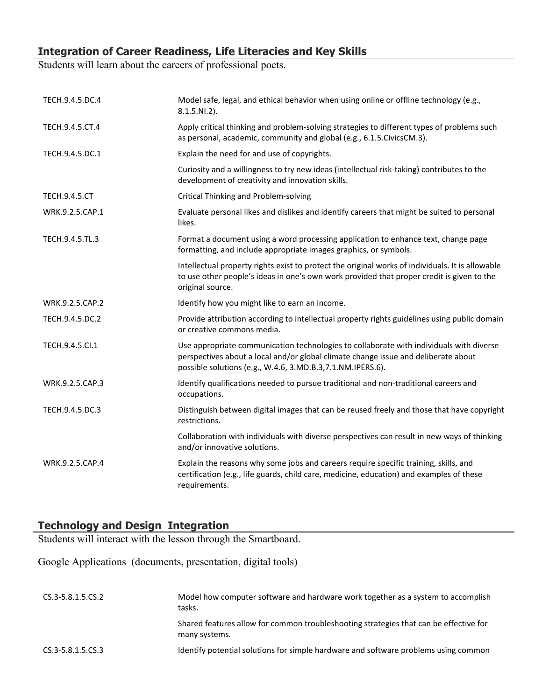# **Integration of Career Readiness, Life Literacies and Key Skills**

Students will learn about the careers of professional poets.

| TECH.9.4.5.DC.4      | Model safe, legal, and ethical behavior when using online or offline technology (e.g.,<br>$8.1.5.NI.2$ ).                                                                                                                                   |
|----------------------|---------------------------------------------------------------------------------------------------------------------------------------------------------------------------------------------------------------------------------------------|
| TECH.9.4.5.CT.4      | Apply critical thinking and problem-solving strategies to different types of problems such<br>as personal, academic, community and global (e.g., 6.1.5. Civics CM.3).                                                                       |
| TECH.9.4.5.DC.1      | Explain the need for and use of copyrights.                                                                                                                                                                                                 |
|                      | Curiosity and a willingness to try new ideas (intellectual risk-taking) contributes to the<br>development of creativity and innovation skills.                                                                                              |
| <b>TECH.9.4.5.CT</b> | Critical Thinking and Problem-solving                                                                                                                                                                                                       |
| WRK.9.2.5.CAP.1      | Evaluate personal likes and dislikes and identify careers that might be suited to personal<br>likes.                                                                                                                                        |
| TECH.9.4.5.TL.3      | Format a document using a word processing application to enhance text, change page<br>formatting, and include appropriate images graphics, or symbols.                                                                                      |
|                      | Intellectual property rights exist to protect the original works of individuals. It is allowable<br>to use other people's ideas in one's own work provided that proper credit is given to the<br>original source.                           |
| WRK.9.2.5.CAP.2      | Identify how you might like to earn an income.                                                                                                                                                                                              |
| TECH.9.4.5.DC.2      | Provide attribution according to intellectual property rights guidelines using public domain<br>or creative commons media.                                                                                                                  |
| TECH.9.4.5.Cl.1      | Use appropriate communication technologies to collaborate with individuals with diverse<br>perspectives about a local and/or global climate change issue and deliberate about<br>possible solutions (e.g., W.4.6, 3.MD.B.3,7.1.NM.IPERS.6). |
| WRK.9.2.5.CAP.3      | Identify qualifications needed to pursue traditional and non-traditional careers and<br>occupations.                                                                                                                                        |
| TECH.9.4.5.DC.3      | Distinguish between digital images that can be reused freely and those that have copyright<br>restrictions.                                                                                                                                 |
|                      | Collaboration with individuals with diverse perspectives can result in new ways of thinking<br>and/or innovative solutions.                                                                                                                 |
| WRK.9.2.5.CAP.4      | Explain the reasons why some jobs and careers require specific training, skills, and<br>certification (e.g., life guards, child care, medicine, education) and examples of these<br>requirements.                                           |

# **Technology and Design Integration**

Students will interact with the lesson through the Smartboard.

Google Applications (documents, presentation, digital tools)

| CS.3-5.8.1.5.CS.2 | Model how computer software and hardware work together as a system to accomplish<br>tasks.             |
|-------------------|--------------------------------------------------------------------------------------------------------|
|                   | Shared features allow for common troubleshooting strategies that can be effective for<br>many systems. |
| CS.3-5.8.1.5.CS.3 | Identify potential solutions for simple hardware and software problems using common                    |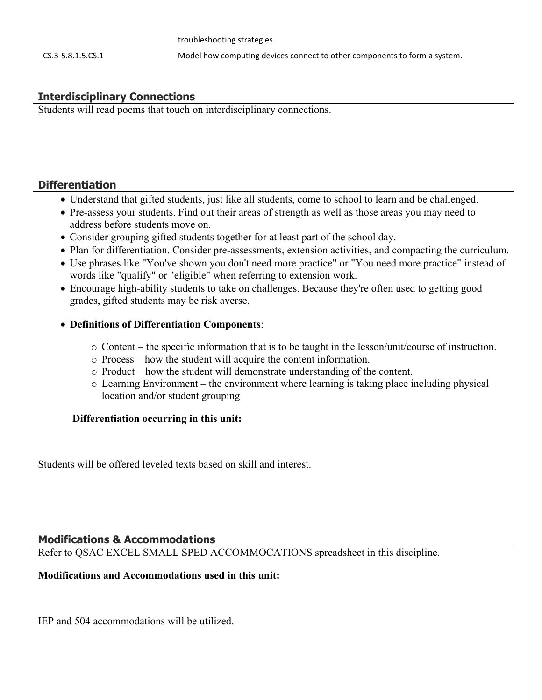troubleshooting strategies.

# **Interdisciplinary Connections**

Students will read poems that touch on interdisciplinary connections.

# **Differentiation**

- Understand that gifted students, just like all students, come to school to learn and be challenged.
- Pre-assess your students. Find out their areas of strength as well as those areas you may need to address before students move on.
- Consider grouping gifted students together for at least part of the school day.
- Plan for differentiation. Consider pre-assessments, extension activities, and compacting the curriculum.
- Use phrases like "You've shown you don't need more practice" or "You need more practice" instead of words like "qualify" or "eligible" when referring to extension work.
- Encourage high-ability students to take on challenges. Because they're often used to getting good grades, gifted students may be risk averse.

#### **Definitions of Differentiation Components**:

- o Content the specific information that is to be taught in the lesson/unit/course of instruction.
- o Process how the student will acquire the content information.
- o Product how the student will demonstrate understanding of the content.
- o Learning Environment the environment where learning is taking place including physical location and/or student grouping

# **Differentiation occurring in this unit:**

Students will be offered leveled texts based on skill and interest.

# **Modifications & Accommodations**

Refer to QSAC EXCEL SMALL SPED ACCOMMOCATIONS spreadsheet in this discipline.

# **Modifications and Accommodations used in this unit:**

IEP and 504 accommodations will be utilized.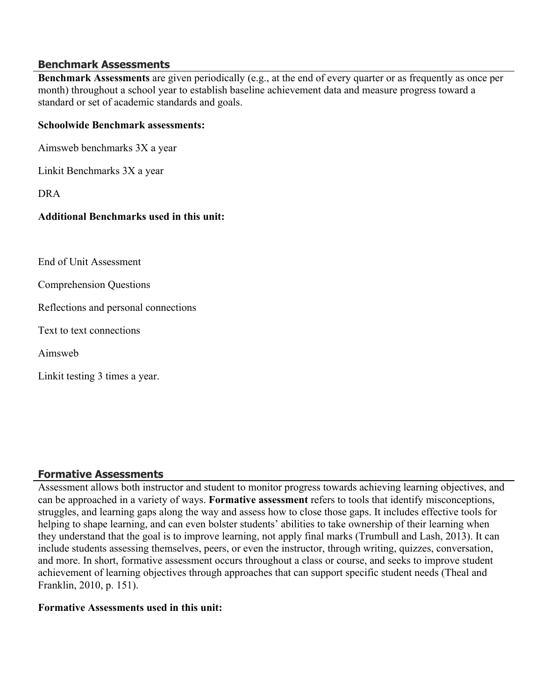# **Benchmark Assessments**

**Benchmark Assessments** are given periodically (e.g., at the end of every quarter or as frequently as once per month) throughout a school year to establish baseline achievement data and measure progress toward a standard or set of academic standards and goals.

#### **Schoolwide Benchmark assessments:**

Aimsweb benchmarks 3X a year

Linkit Benchmarks 3X a year

DRA

#### **Additional Benchmarks used in this unit:**

End of Unit Assessment

Comprehension Questions

Reflections and personal connections

Text to text connections

Aimsweb

Linkit testing 3 times a year.

#### **Formative Assessments**

Assessment allows both instructor and student to monitor progress towards achieving learning objectives, and can be approached in a variety of ways. **Formative assessment** refers to tools that identify misconceptions, struggles, and learning gaps along the way and assess how to close those gaps. It includes effective tools for helping to shape learning, and can even bolster students' abilities to take ownership of their learning when they understand that the goal is to improve learning, not apply final marks (Trumbull and Lash, 2013). It can include students assessing themselves, peers, or even the instructor, through writing, quizzes, conversation, and more. In short, formative assessment occurs throughout a class or course, and seeks to improve student achievement of learning objectives through approaches that can support specific student needs (Theal and Franklin, 2010, p. 151).

#### **Formative Assessments used in this unit:**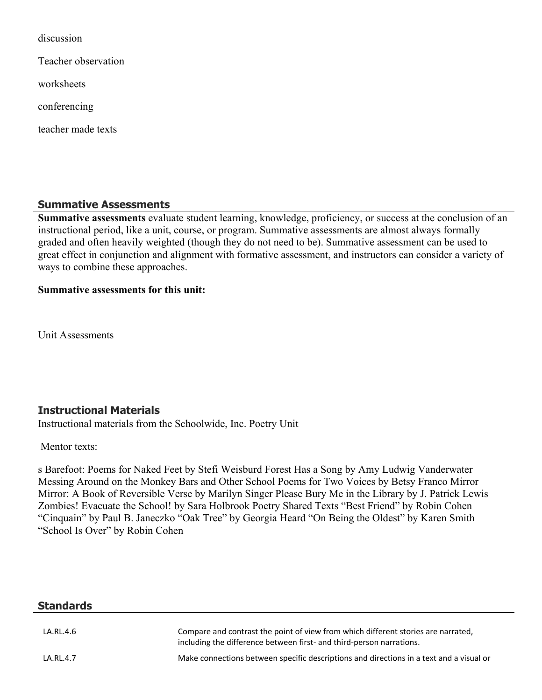discussion

Teacher observation

worksheets

conferencing

teacher made texts

# **Summative Assessments**

**Summative assessments** evaluate student learning, knowledge, proficiency, or success at the conclusion of an instructional period, like a unit, course, or program. Summative assessments are almost always formally graded and often heavily weighted (though they do not need to be). Summative assessment can be used to great effect in conjunction and alignment with formative assessment, and instructors can consider a variety of ways to combine these approaches.

#### **Summative assessments for this unit:**

Unit Assessments

# **Instructional Materials**

Instructional materials from the Schoolwide, Inc. Poetry Unit

Mentor texts:

s Barefoot: Poems for Naked Feet by Stefi Weisburd Forest Has a Song by Amy Ludwig Vanderwater Messing Around on the Monkey Bars and Other School Poems for Two Voices by Betsy Franco Mirror Mirror: A Book of Reversible Verse by Marilyn Singer Please Bury Me in the Library by J. Patrick Lewis Zombies! Evacuate the School! by Sara Holbrook Poetry Shared Texts "Best Friend" by Robin Cohen "Cinquain" by Paul B. Janeczko "Oak Tree" by Georgia Heard "On Being the Oldest" by Karen Smith "School Is Over" by Robin Cohen

| <b>Standards</b> |                                                                                         |
|------------------|-----------------------------------------------------------------------------------------|
| LA.RL.4.6        | Compare and contrast the point of view from which different stories are narrated,       |
|                  | including the difference between first- and third-person narrations.                    |
| LA.RL.4.7        | Make connections between specific descriptions and directions in a text and a visual or |